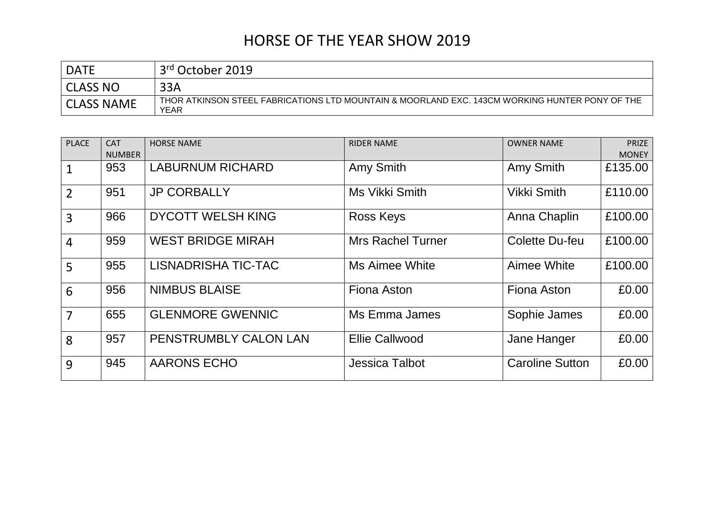| <b>DATE</b>       | 3rd October 2019                                                                                       |
|-------------------|--------------------------------------------------------------------------------------------------------|
| <b>CLASS NO</b>   | 33A                                                                                                    |
| <b>CLASS NAME</b> | THOR ATKINSON STEEL FABRICATIONS LTD MOUNTAIN & MOORLAND EXC. 143CM WORKING HUNTER PONY OF THE<br>YEAR |

| <b>PLACE</b>   | <b>CAT</b>    | <b>HORSE NAME</b>          | <b>RIDER NAME</b>        | <b>OWNER NAME</b>      | <b>PRIZE</b> |
|----------------|---------------|----------------------------|--------------------------|------------------------|--------------|
|                | <b>NUMBER</b> |                            |                          |                        | <b>MONEY</b> |
| $\mathbf{1}$   | 953           | <b>LABURNUM RICHARD</b>    | Amy Smith                | Amy Smith              | £135.00      |
| $\overline{2}$ | 951           | <b>JP CORBALLY</b>         | Ms Vikki Smith           | <b>Vikki Smith</b>     | £110.00      |
| $\overline{3}$ | 966           | <b>DYCOTT WELSH KING</b>   | <b>Ross Keys</b>         | Anna Chaplin           | £100.00      |
| $\overline{4}$ | 959           | <b>WEST BRIDGE MIRAH</b>   | <b>Mrs Rachel Turner</b> | Colette Du-feu         | £100.00      |
| 5              | 955           | <b>LISNADRISHA TIC-TAC</b> | Ms Aimee White           | Aimee White            | £100.00      |
| 6              | 956           | <b>NIMBUS BLAISE</b>       | Fiona Aston              | Fiona Aston            | £0.00        |
| $\overline{7}$ | 655           | <b>GLENMORE GWENNIC</b>    | Ms Emma James            | Sophie James           | £0.00        |
| 8              | 957           | PENSTRUMBLY CALON LAN      | <b>Ellie Callwood</b>    | Jane Hanger            | £0.00        |
| 9              | 945           | <b>AARONS ECHO</b>         | <b>Jessica Talbot</b>    | <b>Caroline Sutton</b> | £0.00        |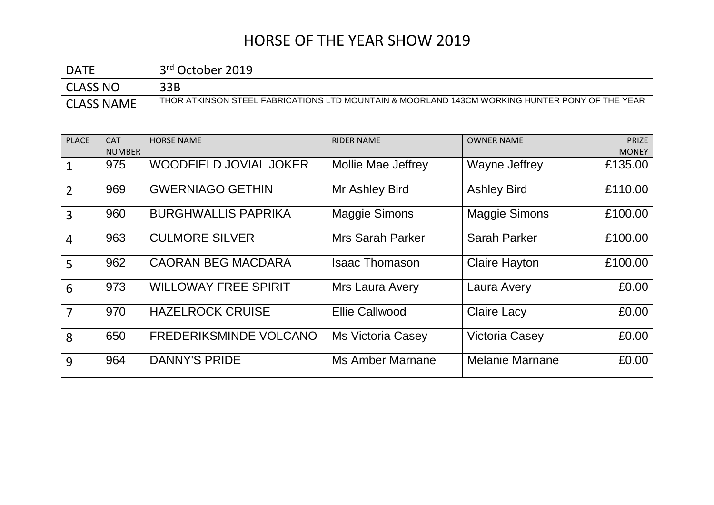| <b>DATE</b>       | 3 <sup>rd</sup> October 2019                                                                   |
|-------------------|------------------------------------------------------------------------------------------------|
| <b>CLASS NO</b>   | 33B                                                                                            |
| <b>CLASS NAME</b> | THOR ATKINSON STEEL FABRICATIONS LTD MOUNTAIN & MOORLAND 143CM WORKING HUNTER PONY OF THE YEAR |

| <b>PLACE</b>   | <b>CAT</b><br><b>NUMBER</b> | <b>HORSE NAME</b>             | <b>RIDER NAME</b>         | <b>OWNER NAME</b>      | <b>PRIZE</b><br><b>MONEY</b> |
|----------------|-----------------------------|-------------------------------|---------------------------|------------------------|------------------------------|
| $\mathbf{1}$   | 975                         | <b>WOODFIELD JOVIAL JOKER</b> | <b>Mollie Mae Jeffrey</b> | Wayne Jeffrey          | £135.00                      |
| $\overline{2}$ | 969                         | <b>GWERNIAGO GETHIN</b>       | Mr Ashley Bird            | <b>Ashley Bird</b>     | £110.00                      |
| $\overline{3}$ | 960                         | <b>BURGHWALLIS PAPRIKA</b>    | <b>Maggie Simons</b>      | <b>Maggie Simons</b>   | £100.00                      |
| $\overline{4}$ | 963                         | <b>CULMORE SILVER</b>         | <b>Mrs Sarah Parker</b>   | <b>Sarah Parker</b>    | £100.00                      |
| 5              | 962                         | <b>CAORAN BEG MACDARA</b>     | <b>Isaac Thomason</b>     | <b>Claire Hayton</b>   | £100.00                      |
| 6              | 973                         | <b>WILLOWAY FREE SPIRIT</b>   | Mrs Laura Avery           | Laura Avery            | £0.00                        |
| $\overline{7}$ | 970                         | <b>HAZELROCK CRUISE</b>       | <b>Ellie Callwood</b>     | <b>Claire Lacy</b>     | £0.00                        |
| 8              | 650                         | <b>FREDERIKSMINDE VOLCANO</b> | <b>Ms Victoria Casey</b>  | <b>Victoria Casey</b>  | £0.00                        |
| 9              | 964                         | <b>DANNY'S PRIDE</b>          | Ms Amber Marnane          | <b>Melanie Marnane</b> | £0.00                        |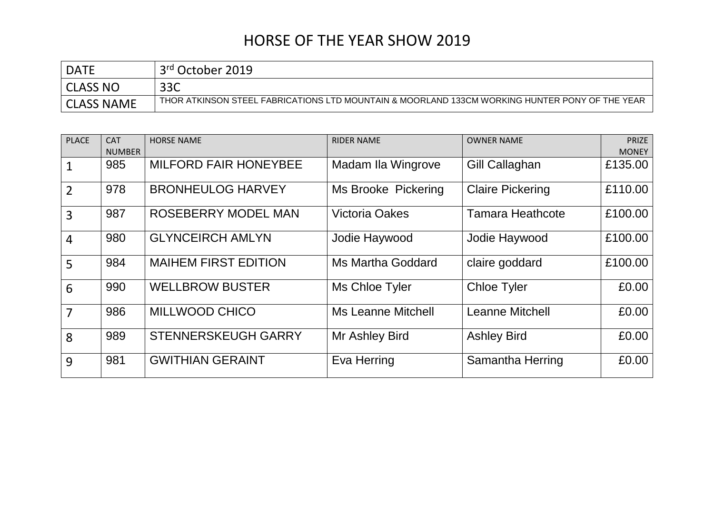| <b>DATF</b>       | 3 <sup>rd</sup> October 2019                                                                   |
|-------------------|------------------------------------------------------------------------------------------------|
| <b>CLASS NO</b>   | ລລດ<br>ここし                                                                                     |
| <b>CLASS NAME</b> | THOR ATKINSON STEEL FABRICATIONS LTD MOUNTAIN & MOORLAND 133CM WORKING HUNTER PONY OF THE YEAR |

| <b>PLACE</b>   | <b>CAT</b><br><b>NUMBER</b> | <b>HORSE NAME</b>            | <b>RIDER NAME</b>         | <b>OWNER NAME</b>       | <b>PRIZE</b><br><b>MONEY</b> |
|----------------|-----------------------------|------------------------------|---------------------------|-------------------------|------------------------------|
|                | 985                         | <b>MILFORD FAIR HONEYBEE</b> | Madam Ila Wingrove        | Gill Callaghan          | £135.00                      |
| $\overline{2}$ | 978                         | <b>BRONHEULOG HARVEY</b>     | Ms Brooke Pickering       | <b>Claire Pickering</b> | £110.00                      |
| 3              | 987                         | <b>ROSEBERRY MODEL MAN</b>   | <b>Victoria Oakes</b>     | <b>Tamara Heathcote</b> | £100.00                      |
| $\overline{4}$ | 980                         | <b>GLYNCEIRCH AMLYN</b>      | Jodie Haywood             | Jodie Haywood           | £100.00                      |
| 5              | 984                         | <b>MAIHEM FIRST EDITION</b>  | <b>Ms Martha Goddard</b>  | claire goddard          | £100.00                      |
| 6              | 990                         | <b>WELLBROW BUSTER</b>       | Ms Chloe Tyler            | <b>Chloe Tyler</b>      | £0.00                        |
| $\overline{7}$ | 986                         | <b>MILLWOOD CHICO</b>        | <b>Ms Leanne Mitchell</b> | <b>Leanne Mitchell</b>  | £0.00                        |
| 8              | 989                         | <b>STENNERSKEUGH GARRY</b>   | Mr Ashley Bird            | <b>Ashley Bird</b>      | £0.00                        |
| 9              | 981                         | <b>GWITHIAN GERAINT</b>      | Eva Herring               | Samantha Herring        | £0.00                        |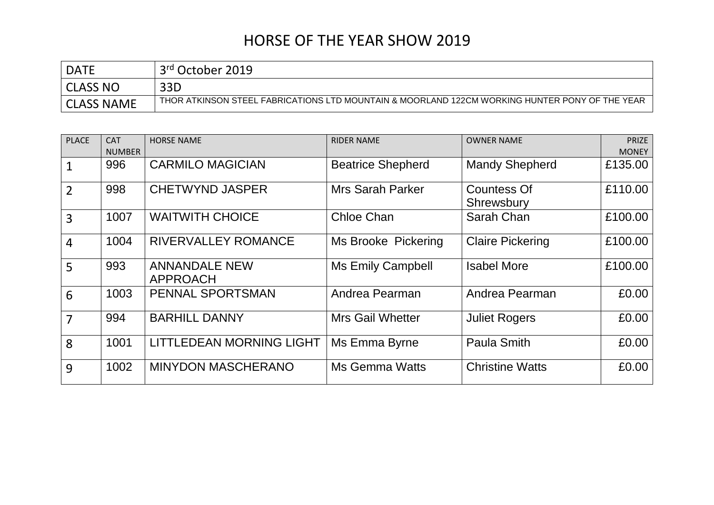| <b>DATE</b>       | 3rd October 2019                                                                               |
|-------------------|------------------------------------------------------------------------------------------------|
| <b>CLASS NO</b>   | 33D                                                                                            |
| <b>CLASS NAME</b> | THOR ATKINSON STEEL FABRICATIONS LTD MOUNTAIN & MOORLAND 122CM WORKING HUNTER PONY OF THE YEAR |

| <b>PLACE</b>   | <b>CAT</b><br><b>NUMBER</b> | <b>HORSE NAME</b>                       | <b>RIDER NAME</b>          | <b>OWNER NAME</b>         | <b>PRIZE</b><br><b>MONEY</b> |
|----------------|-----------------------------|-----------------------------------------|----------------------------|---------------------------|------------------------------|
|                | 996                         | <b>CARMILO MAGICIAN</b>                 | <b>Beatrice Shepherd</b>   | <b>Mandy Shepherd</b>     | £135.00                      |
| $\overline{2}$ | 998                         | <b>CHETWYND JASPER</b>                  | <b>Mrs Sarah Parker</b>    | Countess Of<br>Shrewsbury | £110.00                      |
| $\overline{3}$ | 1007                        | <b>WAITWITH CHOICE</b>                  | Chloe Chan                 | Sarah Chan                | £100.00                      |
| $\overline{4}$ | 1004                        | <b>RIVERVALLEY ROMANCE</b>              | <b>Ms Brooke Pickering</b> | <b>Claire Pickering</b>   | £100.00                      |
| 5              | 993                         | <b>ANNANDALE NEW</b><br><b>APPROACH</b> | Ms Emily Campbell          | <b>Isabel More</b>        | £100.00                      |
| 6              | 1003                        | PENNAL SPORTSMAN                        | Andrea Pearman             | Andrea Pearman            | £0.00                        |
| $\overline{7}$ | 994                         | <b>BARHILL DANNY</b>                    | <b>Mrs Gail Whetter</b>    | <b>Juliet Rogers</b>      | £0.00                        |
| 8              | 1001                        | LITTLEDEAN MORNING LIGHT                | Ms Emma Byrne              | <b>Paula Smith</b>        | £0.00                        |
| 9              | 1002                        | <b>MINYDON MASCHERANO</b>               | Ms Gemma Watts             | <b>Christine Watts</b>    | £0.00                        |